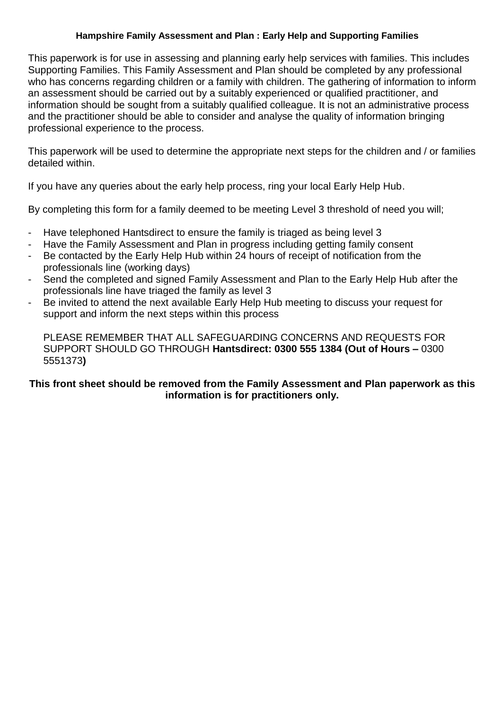This paperwork is for use in assessing and planning early help services with families. This includes Supporting Families. This Family Assessment and Plan should be completed by any professional who has concerns regarding children or a family with children. The gathering of information to inform an assessment should be carried out by a suitably experienced or qualified practitioner, and information should be sought from a suitably qualified colleague. It is not an administrative process and the practitioner should be able to consider and analyse the quality of information bringing professional experience to the process.

This paperwork will be used to determine the appropriate next steps for the children and / or families detailed within.

If you have any queries about the early help process, ring your local Early Help Hub.

By completing this form for a family deemed to be meeting Level 3 threshold of need you will;

- Have telephoned Hantsdirect to ensure the family is triaged as being level 3
- Have the Family Assessment and Plan in progress including getting family consent
- Be contacted by the Early Help Hub within 24 hours of receipt of notification from the professionals line (working days)
- Send the completed and signed Family Assessment and Plan to the Early Help Hub after the professionals line have triaged the family as level 3
- Be invited to attend the next available Early Help Hub meeting to discuss your request for support and inform the next steps within this process

PLEASE REMEMBER THAT ALL SAFEGUARDING CONCERNS AND REQUESTS FOR SUPPORT SHOULD GO THROUGH **Hantsdirect: 0300 555 1384 (Out of Hours –** 0300 5551373**)**

## **This front sheet should be removed from the Family Assessment and Plan paperwork as this information is for practitioners only.**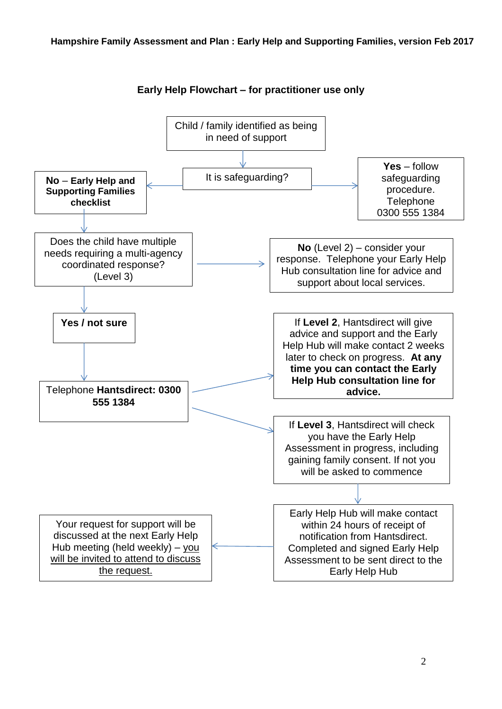

## **Early Help Flowchart – for practitioner use only**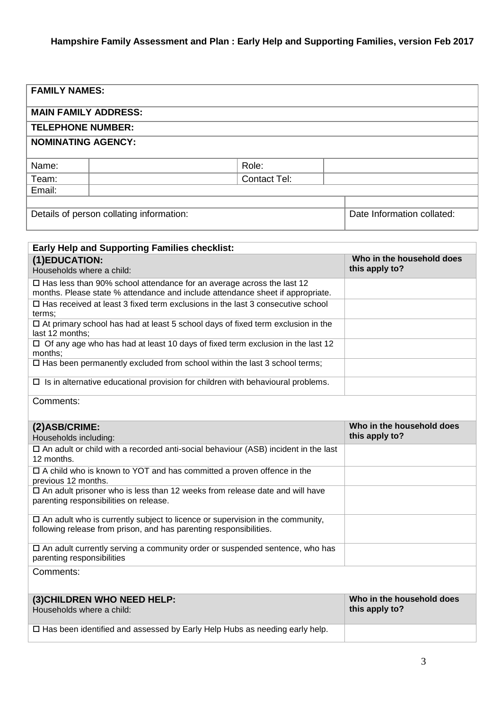|  |  |  |  |  |  | <b>FAMILY NAMES:</b> |  |  |
|--|--|--|--|--|--|----------------------|--|--|
|--|--|--|--|--|--|----------------------|--|--|

#### **MAIN FAMILY ADDRESS:**

#### **TELEPHONE NUMBER:**

#### **NOMINATING AGENCY:**

| Name:  | Role:               |  |
|--------|---------------------|--|
| Team:  | <b>Contact Tel:</b> |  |
| Email: |                     |  |
|        |                     |  |

Details of person collating information: Details of person collated: Date Information collated:

| <b>Early Help and Supporting Families checklist:</b>                                                                                                           |                                             |
|----------------------------------------------------------------------------------------------------------------------------------------------------------------|---------------------------------------------|
| (1)EDUCATION:<br>Households where a child:                                                                                                                     | Who in the household does<br>this apply to? |
| $\Box$ Has less than 90% school attendance for an average across the last 12<br>months. Please state % attendance and include attendance sheet if appropriate. |                                             |
| $\Box$ Has received at least 3 fixed term exclusions in the last 3 consecutive school<br>terms:                                                                |                                             |
| $\Box$ At primary school has had at least 5 school days of fixed term exclusion in the<br>last 12 months;                                                      |                                             |
| $\Box$ Of any age who has had at least 10 days of fixed term exclusion in the last 12<br>months;                                                               |                                             |
| $\Box$ Has been permanently excluded from school within the last 3 school terms;                                                                               |                                             |
| $\Box$ Is in alternative educational provision for children with behavioural problems.                                                                         |                                             |
|                                                                                                                                                                |                                             |

Comments:

| (2) ASB/CRIME:                                                                                                   | Who in the household does |
|------------------------------------------------------------------------------------------------------------------|---------------------------|
| Households including:                                                                                            | this apply to?            |
| $\Box$ An adult or child with a recorded anti-social behaviour (ASB) incident in the last                        |                           |
| 12 months.                                                                                                       |                           |
| $\Box$ A child who is known to YOT and has committed a proven offence in the<br>previous 12 months.              |                           |
| $\Box$ An adult prisoner who is less than 12 weeks from release date and will have                               |                           |
| parenting responsibilities on release.                                                                           |                           |
| $\Box$ An adult who is currently subject to licence or supervision in the community,                             |                           |
| following release from prison, and has parenting responsibilities.                                               |                           |
| $\Box$ An adult currently serving a community order or suspended sentence, who has<br>parenting responsibilities |                           |
| Comments:                                                                                                        |                           |
| (3) CHILDREN WHO NEED HELP:                                                                                      | Who in the household does |
| Households where a child:                                                                                        | this apply to?            |
| $\Box$ Has been identified and assessed by Early Help Hubs as needing early help.                                |                           |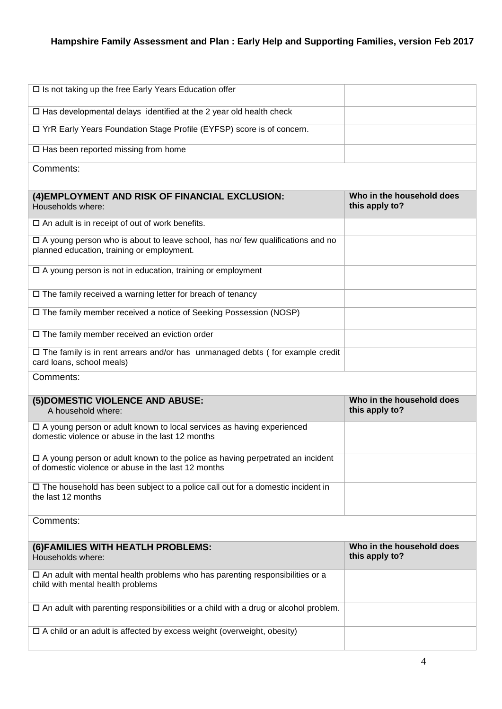| □ Is not taking up the free Early Years Education offer                                                                                     |                                             |
|---------------------------------------------------------------------------------------------------------------------------------------------|---------------------------------------------|
| $\square$ Has developmental delays identified at the 2 year old health check                                                                |                                             |
| □ YrR Early Years Foundation Stage Profile (EYFSP) score is of concern.                                                                     |                                             |
| $\square$ Has been reported missing from home                                                                                               |                                             |
| Comments:                                                                                                                                   |                                             |
|                                                                                                                                             |                                             |
| (4) EMPLOYMENT AND RISK OF FINANCIAL EXCLUSION:<br>Households where:                                                                        | Who in the household does<br>this apply to? |
| $\square$ An adult is in receipt of out of work benefits.                                                                                   |                                             |
| □ A young person who is about to leave school, has no/ few qualifications and no<br>planned education, training or employment.              |                                             |
| $\Box$ A young person is not in education, training or employment                                                                           |                                             |
| $\Box$ The family received a warning letter for breach of tenancy                                                                           |                                             |
| □ The family member received a notice of Seeking Possession (NOSP)                                                                          |                                             |
| $\Box$ The family member received an eviction order                                                                                         |                                             |
| $\Box$ The family is in rent arrears and/or has unmanaged debts (for example credit<br>card loans, school meals)                            |                                             |
|                                                                                                                                             |                                             |
| Comments:                                                                                                                                   |                                             |
|                                                                                                                                             |                                             |
| (5) DOMESTIC VIOLENCE AND ABUSE:<br>A household where:                                                                                      | Who in the household does<br>this apply to? |
| $\Box$ A young person or adult known to local services as having experienced<br>domestic violence or abuse in the last 12 months            |                                             |
| $\Box$ A young person or adult known to the police as having perpetrated an incident<br>of domestic violence or abuse in the last 12 months |                                             |
| □ The household has been subject to a police call out for a domestic incident in<br>the last 12 months                                      |                                             |
| Comments:                                                                                                                                   |                                             |
|                                                                                                                                             |                                             |
| (6) FAMILIES WITH HEATLH PROBLEMS:<br>Households where:                                                                                     | Who in the household does<br>this apply to? |
| $\square$ An adult with mental health problems who has parenting responsibilities or a<br>child with mental health problems                 |                                             |
| $\square$ An adult with parenting responsibilities or a child with a drug or alcohol problem.                                               |                                             |
| $\Box$ A child or an adult is affected by excess weight (overweight, obesity)                                                               |                                             |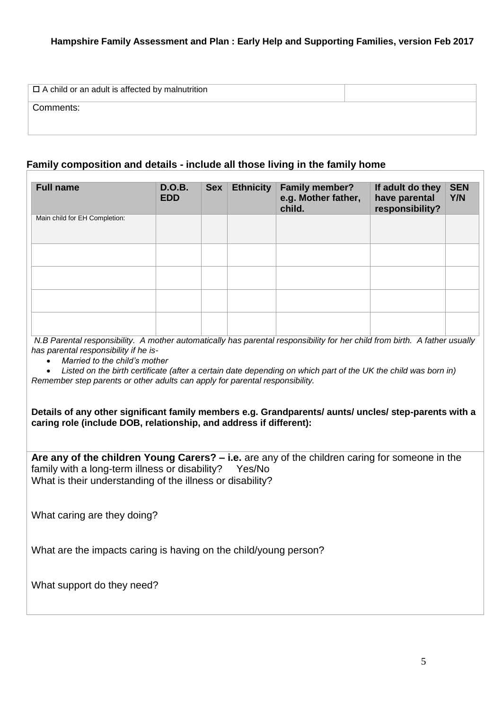| $\Box$ A child or an adult is affected by malnutrition |  |
|--------------------------------------------------------|--|
| Comments:                                              |  |
|                                                        |  |

### **Family composition and details - include all those living in the family home**

| <b>Full name</b>              | <b>D.O.B.</b><br><b>EDD</b> | Sex | <b>Ethnicity</b> | <b>Family member?</b><br>e.g. Mother father,<br>child. | If adult do they<br>have parental<br>responsibility? | <b>SEN</b><br>Y/N |
|-------------------------------|-----------------------------|-----|------------------|--------------------------------------------------------|------------------------------------------------------|-------------------|
| Main child for EH Completion: |                             |     |                  |                                                        |                                                      |                   |
|                               |                             |     |                  |                                                        |                                                      |                   |
|                               |                             |     |                  |                                                        |                                                      |                   |
|                               |                             |     |                  |                                                        |                                                      |                   |
|                               |                             |     |                  |                                                        |                                                      |                   |

*N.B Parental responsibility. A mother automatically has parental responsibility for her child from birth. A father usually has parental responsibility if he is-*

*Married to the child's mother*

 *Listed on the birth certificate (after a certain date depending on which part of the UK the child was born in) Remember step parents or other adults can apply for parental responsibility.*

**Details of any other significant family members e.g. Grandparents/ aunts/ uncles/ step-parents with a caring role (include DOB, relationship, and address if different):**

**Are any of the children Young Carers? – i.e.** are any of the children caring for someone in the family with a long-term illness or disability? Yes/No What is their understanding of the illness or disability?

What caring are they doing?

What are the impacts caring is having on the child/young person?

What support do they need?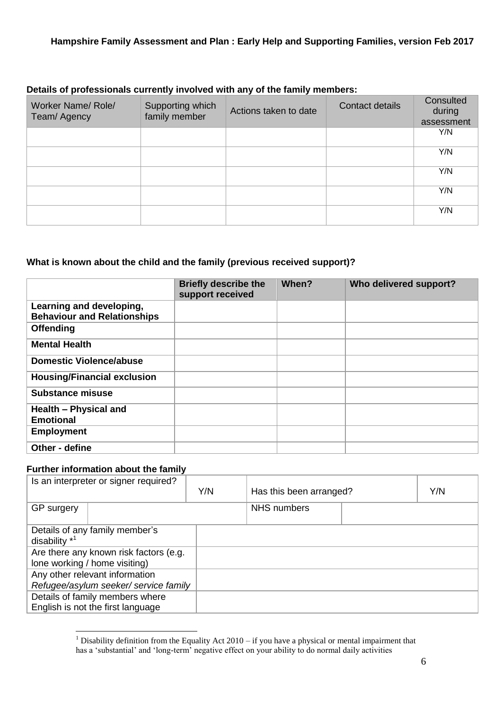#### **Details of professionals currently involved with any of the family members:**

| Worker Name/Role/<br>Team/ Agency | Supporting which<br>family member | Actions taken to date | Contact details | Consulted<br>during<br>assessment |
|-----------------------------------|-----------------------------------|-----------------------|-----------------|-----------------------------------|
|                                   |                                   |                       |                 | Y/N                               |
|                                   |                                   |                       |                 | Y/N                               |
|                                   |                                   |                       |                 | Y/N                               |
|                                   |                                   |                       |                 | Y/N                               |
|                                   |                                   |                       |                 | Y/N                               |

#### **What is known about the child and the family (previous received support)?**

|                                                                | <b>Briefly describe the</b><br>support received | When? | Who delivered support? |
|----------------------------------------------------------------|-------------------------------------------------|-------|------------------------|
| Learning and developing,<br><b>Behaviour and Relationships</b> |                                                 |       |                        |
| <b>Offending</b>                                               |                                                 |       |                        |
| <b>Mental Health</b>                                           |                                                 |       |                        |
| <b>Domestic Violence/abuse</b>                                 |                                                 |       |                        |
| <b>Housing/Financial exclusion</b>                             |                                                 |       |                        |
| <b>Substance misuse</b>                                        |                                                 |       |                        |
| Health - Physical and<br><b>Emotional</b>                      |                                                 |       |                        |
| <b>Employment</b>                                              |                                                 |       |                        |
| Other - define                                                 |                                                 |       |                        |

## **Further information about the family**

<u>.</u>

| Is an interpreter or signer required?                                   | Y/N | Has this been arranged? | Y/N |
|-------------------------------------------------------------------------|-----|-------------------------|-----|
| GP surgery                                                              |     | NHS numbers             |     |
| Details of any family member's<br>disability $*^1$                      |     |                         |     |
| Are there any known risk factors (e.g.<br>lone working / home visiting) |     |                         |     |
| Any other relevant information<br>Refugee/asylum seeker/ service family |     |                         |     |
| Details of family members where<br>English is not the first language    |     |                         |     |

<sup>&</sup>lt;sup>1</sup> Disability definition from the Equality Act  $2010 - if$  you have a physical or mental impairment that has a 'substantial' and 'long-term' negative effect on your ability to do normal daily activities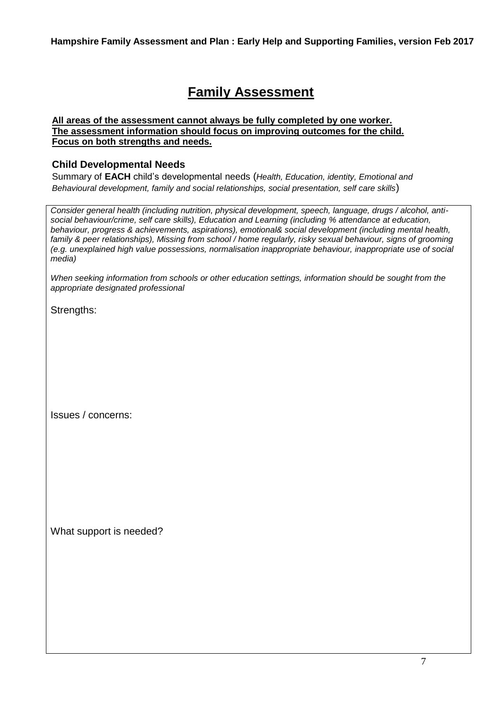# **Family Assessment**

#### **All areas of the assessment cannot always be fully completed by one worker. The assessment information should focus on improving outcomes for the child. Focus on both strengths and needs.**

## **Child Developmental Needs**

Summary of **EACH** child's developmental needs (*Health, Education, identity, Emotional and Behavioural development, family and social relationships, social presentation, self care skills*)

*Consider general health (including nutrition, physical development, speech, language, drugs / alcohol, antisocial behaviour/crime, self care skills), Education and Learning (including % attendance at education, behaviour, progress & achievements, aspirations), emotional& social development (including mental health, family & peer relationships), Missing from school / home regularly, risky sexual behaviour, signs of grooming (e.g. unexplained high value possessions, normalisation inappropriate behaviour, inappropriate use of social media)*

*When seeking information from schools or other education settings, information should be sought from the appropriate designated professional* 

Strengths:

Issues / concerns:

What support is needed?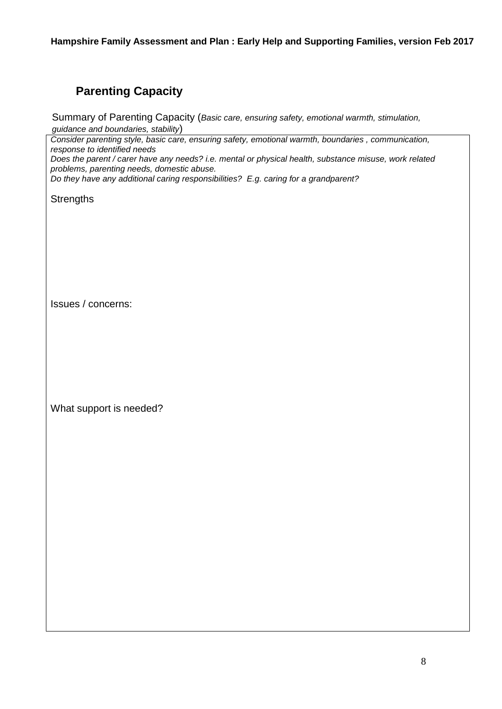## **Parenting Capacity**

Summary of Parenting Capacity (*Basic care, ensuring safety, emotional warmth, stimulation, guidance and boundaries, stability*)

*Consider parenting style, basic care, ensuring safety, emotional warmth, boundaries , communication, response to identified needs*

*Does the parent / carer have any needs? i.e. mental or physical health, substance misuse, work related problems, parenting needs, domestic abuse.*

*Do they have any additional caring responsibilities? E.g. caring for a grandparent?*

**Strengths** 

Issues / concerns:

What support is needed?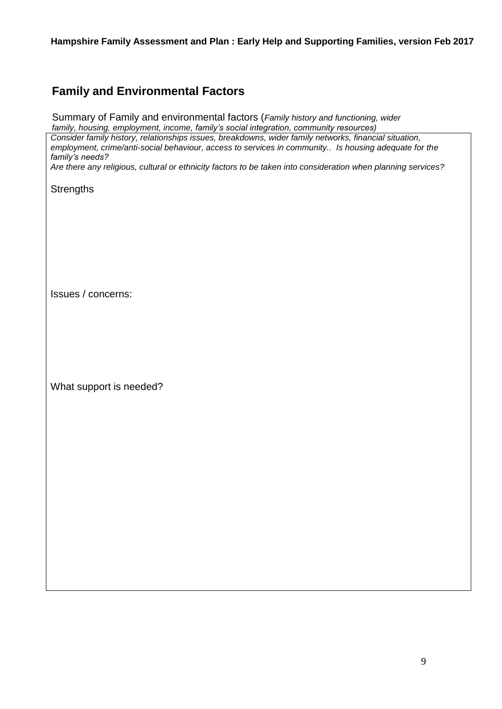## **Family and Environmental Factors**

Summary of Family and environmental factors (*Family history and functioning, wider family, housing, employment, income, family's social integration, community resources)*

*Consider family history, relationships issues, breakdowns, wider family networks, financial situation, employment, crime/anti-social behaviour, access to services in community.. Is housing adequate for the family's needs?* 

*Are there any religious, cultural or ethnicity factors to be taken into consideration when planning services?*

**Strengths** 

Issues / concerns:

What support is needed?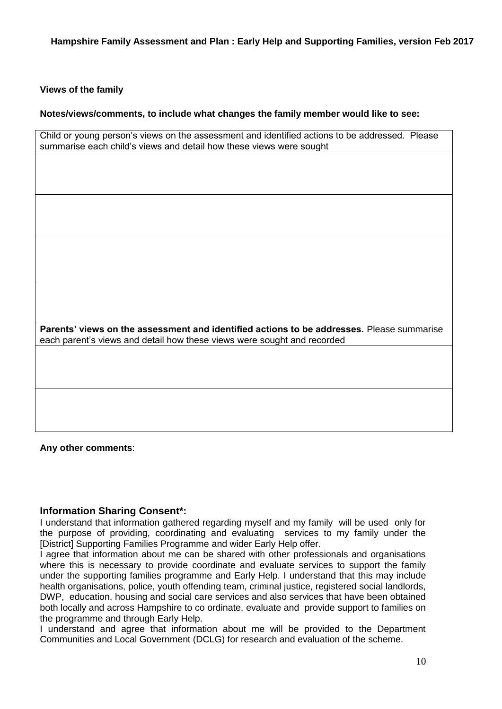#### **Views of the family**

#### **Notes/views/comments, to include what changes the family member would like to see:**

| Child or young person's views on the assessment and identified actions to be addressed. Please |  |
|------------------------------------------------------------------------------------------------|--|
| summarise each child's views and detail how these views were sought                            |  |

**Parents' views on the assessment and identified actions to be addresses.** Please summarise each parent's views and detail how these views were sought and recorded

**Any other comments**:

#### **Information Sharing Consent\*:**

I understand that information gathered regarding myself and my family will be used only for the purpose of providing, coordinating and evaluating services to my family under the [District] Supporting Families Programme and wider Early Help offer.

I agree that information about me can be shared with other professionals and organisations where this is necessary to provide coordinate and evaluate services to support the family under the supporting families programme and Early Help. I understand that this may include health organisations, police, youth offending team, criminal justice, registered social landlords, DWP, education, housing and social care services and also services that have been obtained both locally and across Hampshire to co ordinate, evaluate and provide support to families on the programme and through Early Help.

I understand and agree that information about me will be provided to the Department Communities and Local Government (DCLG) for research and evaluation of the scheme.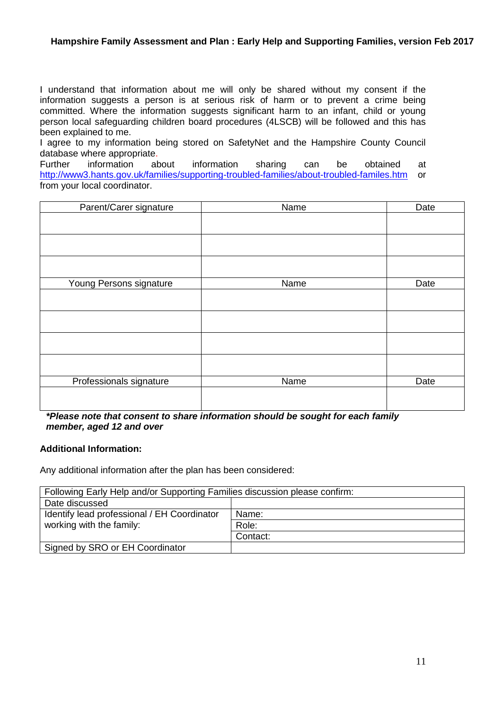I understand that information about me will only be shared without my consent if the information suggests a person is at serious risk of harm or to prevent a crime being committed. Where the information suggests significant harm to an infant, child or young person local safeguarding children board procedures (4LSCB) will be followed and this has been explained to me.

I agree to my information being stored on SafetyNet and the Hampshire County Council database where appropriate.

Further information about information sharing can be obtained at <http://www3.hants.gov.uk/families/supporting-troubled-families/about-troubled-familes.htm> or from your local coordinator.

| Parent/Carer signature  | Name | Date |
|-------------------------|------|------|
|                         |      |      |
|                         |      |      |
|                         |      |      |
|                         |      |      |
| Young Persons signature | Name | Date |
|                         |      |      |
|                         |      |      |
|                         |      |      |
|                         |      |      |
| Professionals signature | Name | Date |
|                         |      |      |

*\*Please note that consent to share information should be sought for each family member, aged 12 and over*

#### **Additional Information:**

Any additional information after the plan has been considered:

| Following Early Help and/or Supporting Families discussion please confirm: |          |  |  |  |
|----------------------------------------------------------------------------|----------|--|--|--|
| Date discussed                                                             |          |  |  |  |
| Identify lead professional / EH Coordinator                                | Name:    |  |  |  |
| working with the family:                                                   | Role:    |  |  |  |
|                                                                            | Contact: |  |  |  |
| Signed by SRO or EH Coordinator                                            |          |  |  |  |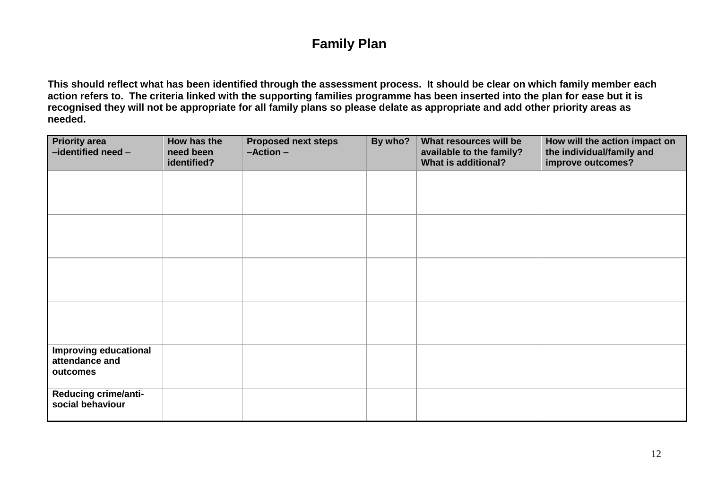# **Family Plan**

**This should reflect what has been identified through the assessment process. It should be clear on which family member each action refers to. The criteria linked with the supporting families programme has been inserted into the plan for ease but it is recognised they will not be appropriate for all family plans so please delate as appropriate and add other priority areas as needed.** 

| <b>Priority area</b><br>-identified need-                  | How has the<br>need been<br>identified? | <b>Proposed next steps</b><br>$-Action -$ | By who? | What resources will be<br>available to the family?<br><b>What is additional?</b> | How will the action impact on<br>the individual/family and<br>improve outcomes? |  |
|------------------------------------------------------------|-----------------------------------------|-------------------------------------------|---------|----------------------------------------------------------------------------------|---------------------------------------------------------------------------------|--|
|                                                            |                                         |                                           |         |                                                                                  |                                                                                 |  |
|                                                            |                                         |                                           |         |                                                                                  |                                                                                 |  |
|                                                            |                                         |                                           |         |                                                                                  |                                                                                 |  |
|                                                            |                                         |                                           |         |                                                                                  |                                                                                 |  |
| <b>Improving educational</b><br>attendance and<br>outcomes |                                         |                                           |         |                                                                                  |                                                                                 |  |
| <b>Reducing crime/anti-</b><br>social behaviour            |                                         |                                           |         |                                                                                  |                                                                                 |  |